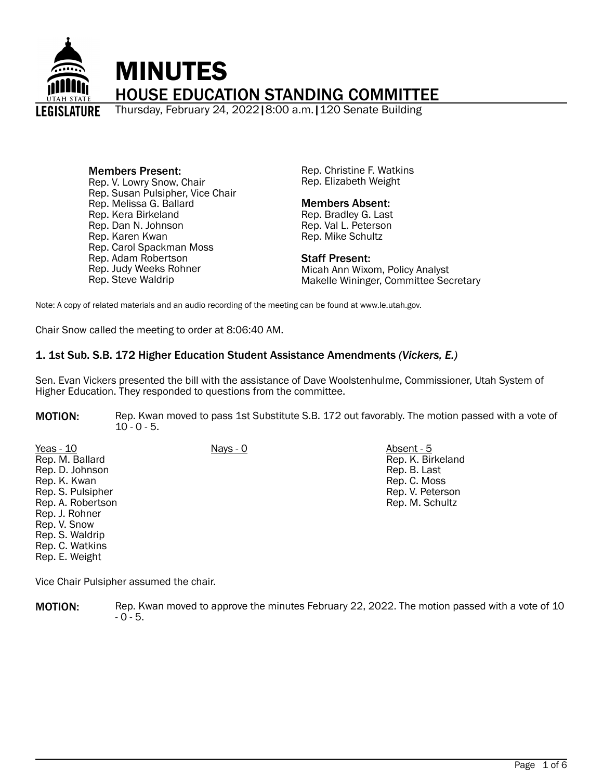

#### Members Present: Rep. V. Lowry Snow, Chair Rep. Susan Pulsipher, Vice Chair

Rep. Melissa G. Ballard Rep. Kera Birkeland Rep. Dan N. Johnson Rep. Karen Kwan Rep. Carol Spackman Moss Rep. Adam Robertson Rep. Judy Weeks Rohner Rep. Steve Waldrip

Rep. Christine F. Watkins Rep. Elizabeth Weight

#### Members Absent:

Rep. Bradley G. Last Rep. Val L. Peterson Rep. Mike Schultz

#### Staff Present:

Micah Ann Wixom, Policy Analyst Makelle Wininger, Committee Secretary

Note: A copy of related materials and an audio recording of the meeting can be found at www.le.utah.gov.

Chair Snow called the meeting to order at 8:06:40 AM.

# 1. 1st Sub. S.B. 172 Higher Education Student Assistance Amendments *(Vickers, E.)*

Sen. Evan Vickers presented the bill with the assistance of Dave Woolstenhulme, Commissioner, Utah System of Higher Education. They responded to questions from the committee.

MOTION: Rep. Kwan moved to pass 1st Substitute S.B. 172 out favorably. The motion passed with a vote of  $10 - 0 - 5$ .

Yeas - 10 Nays - 0 Absent - 5 Rep. M. Ballard Rep. D. Johnson Rep. K. Kwan Rep. S. Pulsipher Rep. A. Robertson Rep. J. Rohner Rep. V. Snow Rep. S. Waldrip Rep. C. Watkins Rep. E. Weight

Rep. K. Birkeland Rep. B. Last Rep. C. Moss Rep. V. Peterson Rep. M. Schultz

Vice Chair Pulsipher assumed the chair.

**MOTION:** Rep. Kwan moved to approve the minutes February 22, 2022. The motion passed with a vote of 10  $- 0 - 5.$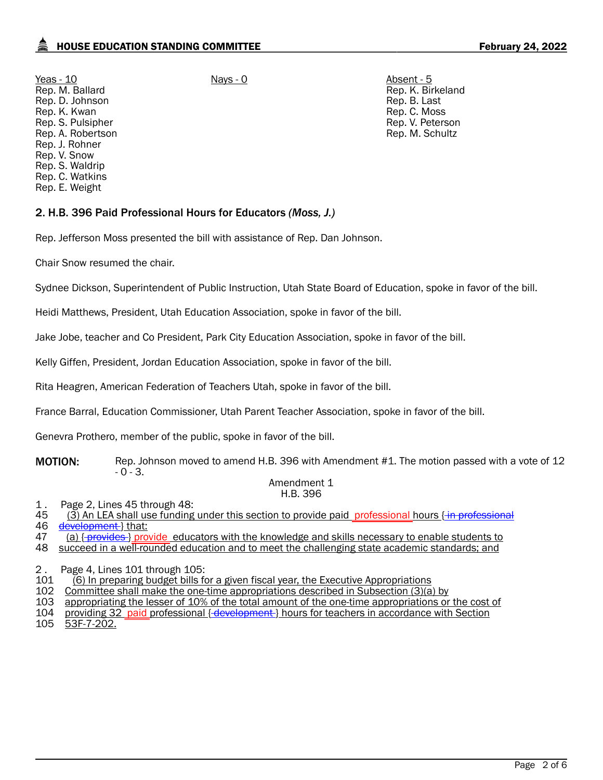Yeas - 10 Nays - 0 Absent - 5 Rep. M. Ballard Rep. D. Johnson Rep. K. Kwan Rep. S. Pulsipher Rep. A. Robertson Rep. J. Rohner Rep. V. Snow Rep. S. Waldrip Rep. C. Watkins Rep. E. Weight

Rep. K. Birkeland Rep. B. Last Rep. C. Moss Rep. V. Peterson Rep. M. Schultz

## 2. H.B. 396 Paid Professional Hours for Educators *(Moss, J.)*

Rep. Jefferson Moss presented the bill with assistance of Rep. Dan Johnson.

Chair Snow resumed the chair.

Sydnee Dickson, Superintendent of Public Instruction, Utah State Board of Education, spoke in favor of the bill.

Heidi Matthews, President, Utah Education Association, spoke in favor of the bill.

Jake Jobe, teacher and Co President, Park City Education Association, spoke in favor of the bill.

Kelly Giffen, President, Jordan Education Association, spoke in favor of the bill.

Rita Heagren, American Federation of Teachers Utah, spoke in favor of the bill.

France Barral, Education Commissioner, Utah Parent Teacher Association, spoke in favor of the bill.

Genevra Prothero, member of the public, spoke in favor of the bill.

**MOTION:** Rep. Johnson moved to amend H.B. 396 with Amendment #1. The motion passed with a vote of 12  $-0 - 3.$ 

#### Amendment 1 H.B. 396

- 1. Page 2, Lines 45 through 48:<br>45 (3) An LEA shall use funding
- 45 (3) An LEA shall use funding under this section to provide paid professional hours { in professional 46 development } that:

development } that:

47 (a) { provides } provide educators with the knowledge and skills necessary to enable students to

48 succeed in a well-rounded education and to meet the challenging state academic standards; and

2 . Page 4, Lines 101 through 105:<br>101 (6) In preparing budget bills fo

- 101 (6) In preparing budget bills for a given fiscal year, the Executive Appropriations<br>102 Committee shall make the one-time appropriations described in Subsection (3)(a
- Committee shall make the one-time appropriations described in Subsection (3)(a) by
- 103 appropriating the lesser of 10% of the total amount of the one-time appropriations or the cost of
- 104 <u>providing 32 <sub>-</sub>paid professional {-development } hours for teachers in accordance with Section</u><br>105 53F-7-202.
- 53F-7-202.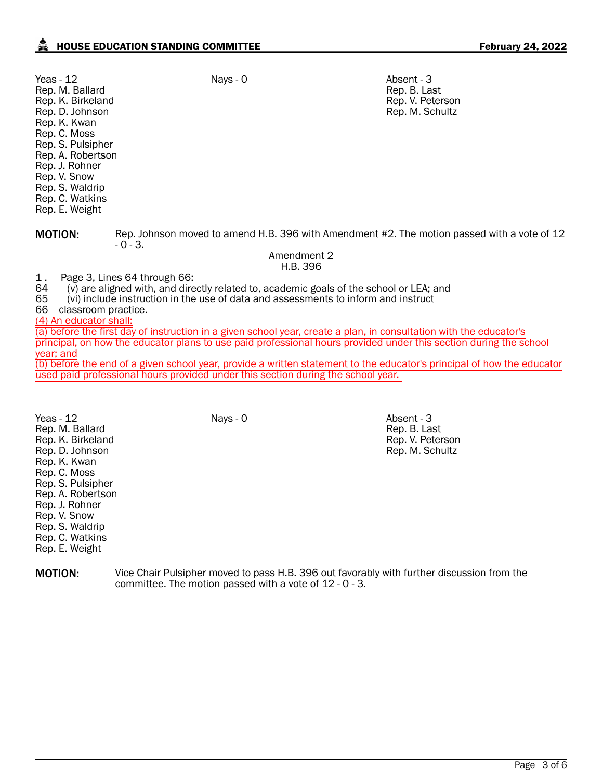| Yeas - 12<br>Rep. M. Ballard<br>Rep. K. Birkeland<br>Rep. D. Johnson<br>Rep. K. Kwan<br>Rep. C. Moss<br>Rep. S. Pulsipher<br>Rep. A. Robertson<br>Rep. J. Rohner<br>Rep. V. Snow<br>Rep. S. Waldrip<br>Rep. C. Watkins<br>Rep. E. Weight                                                                                                                                                                                                                                                                                          | Nays - 0    | Absent - 3<br>Rep. B. Last<br>Rep. V. Peterson<br>Rep. M. Schultz |  |  |
|-----------------------------------------------------------------------------------------------------------------------------------------------------------------------------------------------------------------------------------------------------------------------------------------------------------------------------------------------------------------------------------------------------------------------------------------------------------------------------------------------------------------------------------|-------------|-------------------------------------------------------------------|--|--|
| <b>MOTION:</b><br>Rep. Johnson moved to amend H.B. 396 with Amendment #2. The motion passed with a vote of 12<br>$-0-3.$                                                                                                                                                                                                                                                                                                                                                                                                          |             |                                                                   |  |  |
|                                                                                                                                                                                                                                                                                                                                                                                                                                                                                                                                   | Amendment 2 |                                                                   |  |  |
|                                                                                                                                                                                                                                                                                                                                                                                                                                                                                                                                   | H.B. 396    |                                                                   |  |  |
| Page 3, Lines 64 through 66:<br>1.<br>64<br>(v) are aligned with, and directly related to, academic goals of the school or LEA; and<br>65<br>(vi) include instruction in the use of data and assessments to inform and instruct<br>66<br>classroom practice.<br>(4) An educator shall:<br>(a) before the first day of instruction in a given school year, create a plan, in consultation with the educator's<br>principal, on how the educator plans to use paid professional hours provided under this section during the school |             |                                                                   |  |  |
| <u>year; and</u>                                                                                                                                                                                                                                                                                                                                                                                                                                                                                                                  |             |                                                                   |  |  |

(b) before the end of a given school year, provide a written statement to the educator's principal of how the educator used paid professional hours provided under this section during the school year.

Yeas - 12 Nays - 0 Nays - 0 Absent - 3 Rep. M. Ballard Rep. K. Birkeland Rep. D. Johnson Rep. K. Kwan Rep. C. Moss Rep. S. Pulsipher Rep. A. Robertson Rep. J. Rohner Rep. V. Snow Rep. S. Waldrip Rep. C. Watkins Rep. E. Weight

Rep. B. Last Rep. V. Peterson Rep. M. Schultz

MOTION: Vice Chair Pulsipher moved to pass H.B. 396 out favorably with further discussion from the committee. The motion passed with a vote of 12 - 0 - 3.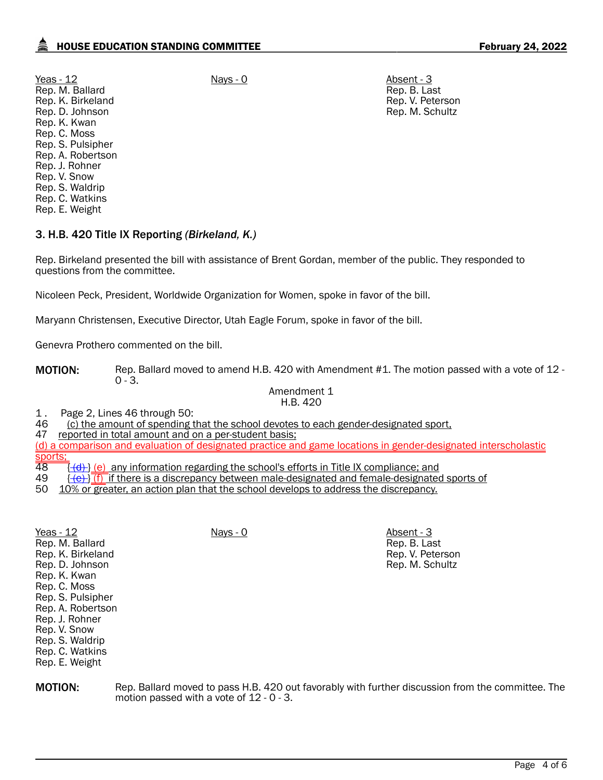Yeas - 12 Nays - 0 Nays - 0 Absent - 3 Rep. M. Ballard Rep. K. Birkeland Rep. D. Johnson Rep. K. Kwan Rep. C. Moss Rep. S. Pulsipher Rep. A. Robertson Rep. J. Rohner Rep. V. Snow Rep. S. Waldrip Rep. C. Watkins Rep. E. Weight

Rep. B. Last Rep. V. Peterson Rep. M. Schultz

Rep. B. Last Rep. V. Peterson Rep. M. Schultz

## 3. H.B. 420 Title IX Reporting *(Birkeland, K.)*

Rep. Birkeland presented the bill with assistance of Brent Gordan, member of the public. They responded to questions from the committee.

Nicoleen Peck, President, Worldwide Organization for Women, spoke in favor of the bill.

Maryann Christensen, Executive Director, Utah Eagle Forum, spoke in favor of the bill.

Genevra Prothero commented on the bill.

MOTION: Rep. Ballard moved to amend H.B. 420 with Amendment #1. The motion passed with a vote of 12 - $0 - 3.$ 

> Amendment 1 H.B. 420

# 1. Page 2, Lines 46 through 50:<br>46 (c) the amount of spending t

46 (c) the amount of spending that the school devotes to each gender-designated sport, 47 reported in total amount and on a per-student basis:

reported in total amount and on a per-student basis;

(d) a comparison and evaluation of designated practice and game locations in gender-designated interscholastic

- <mark>sports;</mark><br>48  $\frac{48}{48}$   $\frac{1}{40}$  (e) any information regarding the school's efforts in Title IX compliance; and 49  $\frac{1}{40}$  if there is a discrepancy between male-designated and female-designated
- $\{\overline{\text{e}}\}\$  (f) if there is a discrepancy between male-designated and female-designated sports of
- 50 10% or greater, an action plan that the school develops to address the discrepancy.

| Yeas - 12         | Nays - 0 | Absent - 3 |
|-------------------|----------|------------|
| Rep. M. Ballard   |          | Rep. B. La |
| Rep. K. Birkeland |          | Rep. V. Pe |
| Rep. D. Johnson   |          | Rep. M. So |
| Rep. K. Kwan      |          |            |
| Rep. C. Moss      |          |            |
| Rep. S. Pulsipher |          |            |
| Rep. A. Robertson |          |            |
| Rep. J. Rohner    |          |            |
| Rep. V. Snow      |          |            |
| Rep. S. Waldrip   |          |            |
| Rep. C. Watkins   |          |            |
| Rep. E. Weight    |          |            |
|                   |          |            |

**MOTION:** Rep. Ballard moved to pass H.B. 420 out favorably with further discussion from the committee. The motion passed with a vote of 12 - 0 - 3.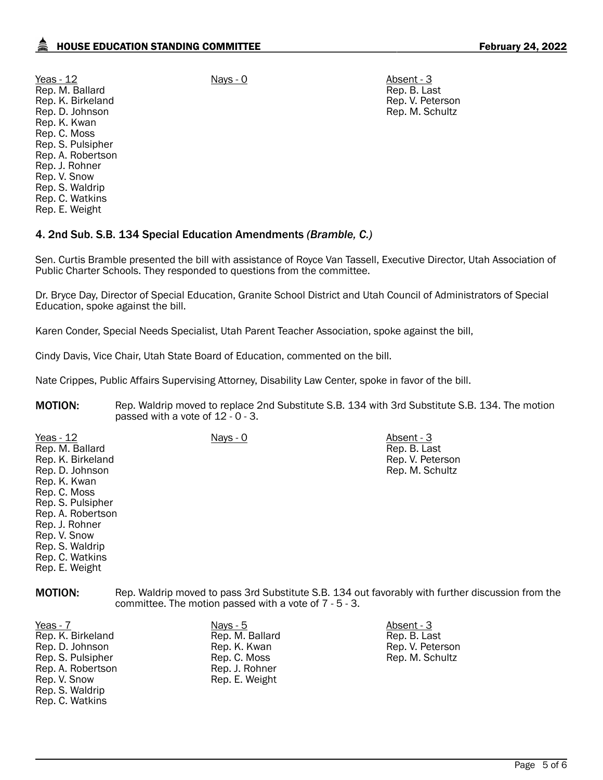Yeas - 12 Nays - 0 Nays - 0 Absent - 3 Rep. M. Ballard Rep. K. Birkeland Rep. D. Johnson Rep. K. Kwan Rep. C. Moss Rep. S. Pulsipher Rep. A. Robertson Rep. J. Rohner Rep. V. Snow Rep. S. Waldrip Rep. C. Watkins Rep. E. Weight

Rep. B. Last Rep. V. Peterson Rep. M. Schultz

#### 4. 2nd Sub. S.B. 134 Special Education Amendments *(Bramble, C.)*

Sen. Curtis Bramble presented the bill with assistance of Royce Van Tassell, Executive Director, Utah Association of Public Charter Schools. They responded to questions from the committee.

Dr. Bryce Day, Director of Special Education, Granite School District and Utah Council of Administrators of Special Education, spoke against the bill.

Karen Conder, Special Needs Specialist, Utah Parent Teacher Association, spoke against the bill,

Cindy Davis, Vice Chair, Utah State Board of Education, commented on the bill.

Nate Crippes, Public Affairs Supervising Attorney, Disability Law Center, spoke in favor of the bill.

**MOTION:** Rep. Waldrip moved to replace 2nd Substitute S.B. 134 with 3rd Substitute S.B. 134. The motion passed with a vote of 12 - 0 - 3.

Yeas - 12 Nays - 0 Nays - 0 Absent - 3 Rep. M. Ballard Rep. K. Birkeland Rep. D. Johnson Rep. K. Kwan Rep. C. Moss Rep. S. Pulsipher Rep. A. Robertson Rep. J. Rohner Rep. V. Snow Rep. S. Waldrip Rep. C. Watkins Rep. E. Weight

Rep. B. Last Rep. V. Peterson Rep. M. Schultz

MOTION: Rep. Waldrip moved to pass 3rd Substitute S.B. 134 out favorably with further discussion from the committee. The motion passed with a vote of 7 - 5 - 3.

- Yeas 7 Nays 5 Absent 3 Rep. K. Birkeland Rep. D. Johnson Rep. S. Pulsipher Rep. A. Robertson Rep. V. Snow Rep. S. Waldrip Rep. C. Watkins
	- Rep. M. Ballard Rep. K. Kwan Rep. C. Moss Rep. J. Rohner Rep. E. Weight

Rep. B. Last Rep. V. Peterson Rep. M. Schultz